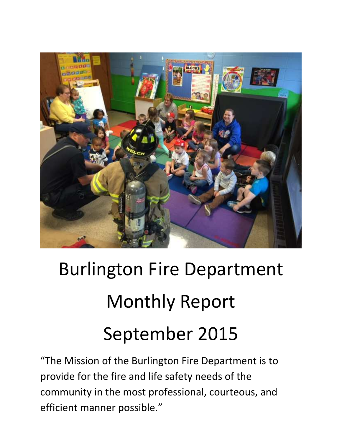

# Burlington Fire Department Monthly Report September 2015

"The Mission of the Burlington Fire Department is to provide for the fire and life safety needs of the community in the most professional, courteous, and efficient manner possible."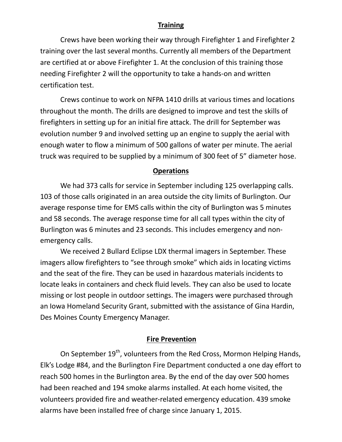#### **Training**

 Crews have been working their way through Firefighter 1 and Firefighter 2 training over the last several months. Currently all members of the Department are certified at or above Firefighter 1. At the conclusion of this training those needing Firefighter 2 will the opportunity to take a hands-on and written certification test.

 Crews continue to work on NFPA 1410 drills at various times and locations throughout the month. The drills are designed to improve and test the skills of firefighters in setting up for an initial fire attack. The drill for September was evolution number 9 and involved setting up an engine to supply the aerial with enough water to flow a minimum of 500 gallons of water per minute. The aerial truck was required to be supplied by a minimum of 300 feet of 5" diameter hose.

#### **Operations**

We had 373 calls for service in September including 125 overlapping calls. 103 of those calls originated in an area outside the city limits of Burlington. Our average response time for EMS calls within the city of Burlington was 5 minutes and 58 seconds. The average response time for all call types within the city of Burlington was 6 minutes and 23 seconds. This includes emergency and nonemergency calls.

We received 2 Bullard Eclipse LDX thermal imagers in September. These imagers allow firefighters to "see through smoke" which aids in locating victims and the seat of the fire. They can be used in hazardous materials incidents to locate leaks in containers and check fluid levels. They can also be used to locate missing or lost people in outdoor settings. The imagers were purchased through an Iowa Homeland Security Grant, submitted with the assistance of Gina Hardin, Des Moines County Emergency Manager.

#### **Fire Prevention**

On September 19<sup>th</sup>, volunteers from the Red Cross, Mormon Helping Hands, Elk's Lodge #84, and the Burlington Fire Department conducted a one day effort to reach 500 homes in the Burlington area. By the end of the day over 500 homes had been reached and 194 smoke alarms installed. At each home visited, the volunteers provided fire and weather-related emergency education. 439 smoke alarms have been installed free of charge since January 1, 2015.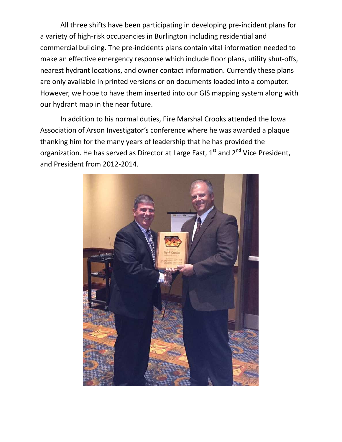All three shifts have been participating in developing pre-incident plans for a variety of high-risk occupancies in Burlington including residential and commercial building. The pre-incidents plans contain vital information needed to make an effective emergency response which include floor plans, utility shut-offs, nearest hydrant locations, and owner contact information. Currently these plans are only available in printed versions or on documents loaded into a computer. However, we hope to have them inserted into our GIS mapping system along with our hydrant map in the near future.

In addition to his normal duties, Fire Marshal Crooks attended the Iowa Association of Arson Investigator's conference where he was awarded a plaque thanking him for the many years of leadership that he has provided the organization. He has served as Director at Large East,  $1<sup>st</sup>$  and  $2<sup>nd</sup>$  Vice President. and President from 2012-2014.

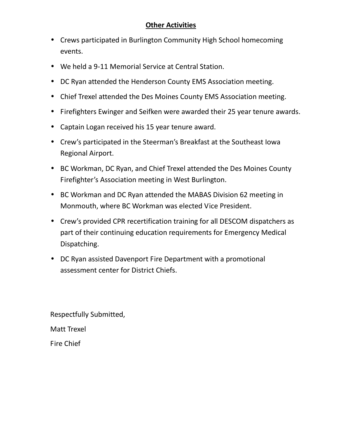### **Other Activities**

- Crews participated in Burlington Community High School homecoming events.
- We held a 9-11 Memorial Service at Central Station.
- DC Ryan attended the Henderson County EMS Association meeting.
- Chief Trexel attended the Des Moines County EMS Association meeting.
- Firefighters Ewinger and Seifken were awarded their 25 year tenure awards.
- Captain Logan received his 15 year tenure award.
- Crew's participated in the Steerman's Breakfast at the Southeast Iowa Regional Airport.
- BC Workman, DC Ryan, and Chief Trexel attended the Des Moines County Firefighter's Association meeting in West Burlington.
- BC Workman and DC Ryan attended the MABAS Division 62 meeting in Monmouth, where BC Workman was elected Vice President.
- Crew's provided CPR recertification training for all DESCOM dispatchers as part of their continuing education requirements for Emergency Medical Dispatching.
- DC Ryan assisted Davenport Fire Department with a promotional assessment center for District Chiefs.

Respectfully Submitted, Matt Trexel

Fire Chief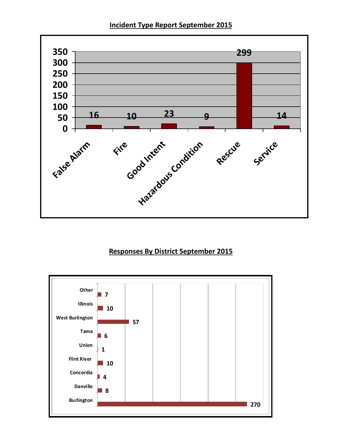**Incident Type Report September 2015** 



## **Responses By District September 2015**